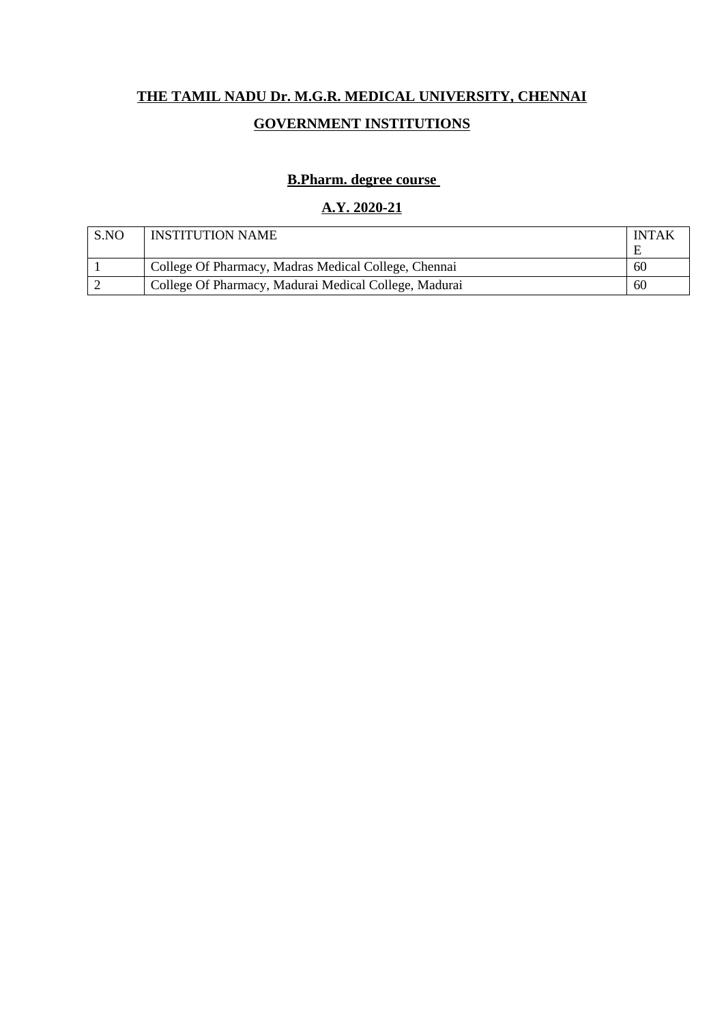# **THE TAMIL NADU Dr. M.G.R. MEDICAL UNIVERSITY, CHENNAI GOVERNMENT INSTITUTIONS**

## **B.Pharm. degree course**

### **A.Y. 2020-21**

| S.NO | <b>INSTITUTION NAME</b>                               | <b>INTAK</b> |
|------|-------------------------------------------------------|--------------|
|      |                                                       | E            |
|      | College Of Pharmacy, Madras Medical College, Chennai  | 60           |
|      | College Of Pharmacy, Madurai Medical College, Madurai | 60           |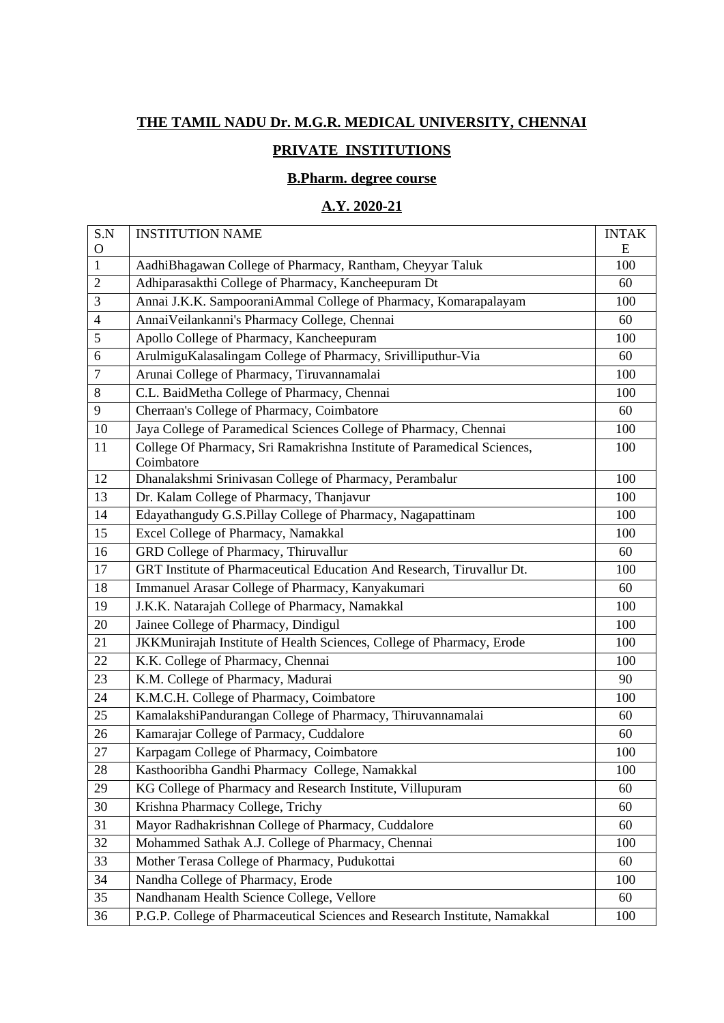# **THE TAMIL NADU Dr. M.G.R. MEDICAL UNIVERSITY, CHENNAI**

## **PRIVATE INSTITUTIONS**

## **B.Pharm. degree course**

#### **A.Y. 2020-21**

| S.N            | <b>INSTITUTION NAME</b>                                                               | <b>INTAK</b> |
|----------------|---------------------------------------------------------------------------------------|--------------|
| $\mathbf O$    |                                                                                       | E            |
| $\mathbf{1}$   | AadhiBhagawan College of Pharmacy, Rantham, Cheyyar Taluk                             | 100          |
| $\overline{2}$ | Adhiparasakthi College of Pharmacy, Kancheepuram Dt                                   | 60           |
| 3              | Annai J.K.K. SampooraniAmmal College of Pharmacy, Komarapalayam                       | 100          |
| 4              | Annai Veilankanni's Pharmacy College, Chennai                                         | 60           |
| 5              | Apollo College of Pharmacy, Kancheepuram                                              | 100          |
| 6              | ArulmiguKalasalingam College of Pharmacy, Srivilliputhur-Via                          | 60           |
| 7              | Arunai College of Pharmacy, Tiruvannamalai                                            | 100          |
| 8              | C.L. BaidMetha College of Pharmacy, Chennai                                           | 100          |
| 9              | Cherraan's College of Pharmacy, Coimbatore                                            | 60           |
| 10             | Jaya College of Paramedical Sciences College of Pharmacy, Chennai                     | 100          |
| 11             | College Of Pharmacy, Sri Ramakrishna Institute of Paramedical Sciences,<br>Coimbatore | 100          |
| 12             | Dhanalakshmi Srinivasan College of Pharmacy, Perambalur                               | 100          |
| 13             | Dr. Kalam College of Pharmacy, Thanjavur                                              | 100          |
| 14             | Edayathangudy G.S.Pillay College of Pharmacy, Nagapattinam                            | 100          |
| 15             | Excel College of Pharmacy, Namakkal                                                   | 100          |
| 16             | GRD College of Pharmacy, Thiruvallur                                                  | 60           |
| 17             | GRT Institute of Pharmaceutical Education And Research, Tiruvallur Dt.                | 100          |
| 18             | Immanuel Arasar College of Pharmacy, Kanyakumari                                      | 60           |
| 19             | J.K.K. Natarajah College of Pharmacy, Namakkal                                        | 100          |
| 20             | Jainee College of Pharmacy, Dindigul                                                  | 100          |
| 21             | JKKMunirajah Institute of Health Sciences, College of Pharmacy, Erode                 | 100          |
| 22             | K.K. College of Pharmacy, Chennai                                                     | 100          |
| 23             | K.M. College of Pharmacy, Madurai                                                     | 90           |
| 24             | K.M.C.H. College of Pharmacy, Coimbatore                                              | 100          |
| 25             | KamalakshiPandurangan College of Pharmacy, Thiruvannamalai                            | 60           |
| 26             | Kamarajar College of Parmacy, Cuddalore                                               | 60           |
| 27             | Karpagam College of Pharmacy, Coimbatore                                              | 100          |
| 28             | Kasthooribha Gandhi Pharmacy College, Namakkal                                        | 100          |
| 29             | KG College of Pharmacy and Research Institute, Villupuram                             | 60           |
| 30             | Krishna Pharmacy College, Trichy                                                      | 60           |
| 31             | Mayor Radhakrishnan College of Pharmacy, Cuddalore                                    | 60           |
| 32             | Mohammed Sathak A.J. College of Pharmacy, Chennai                                     | 100          |
| 33             | Mother Terasa College of Pharmacy, Pudukottai                                         | 60           |
| 34             | Nandha College of Pharmacy, Erode                                                     | 100          |
| 35             | Nandhanam Health Science College, Vellore                                             | 60           |
| 36             | P.G.P. College of Pharmaceutical Sciences and Research Institute, Namakkal            | 100          |